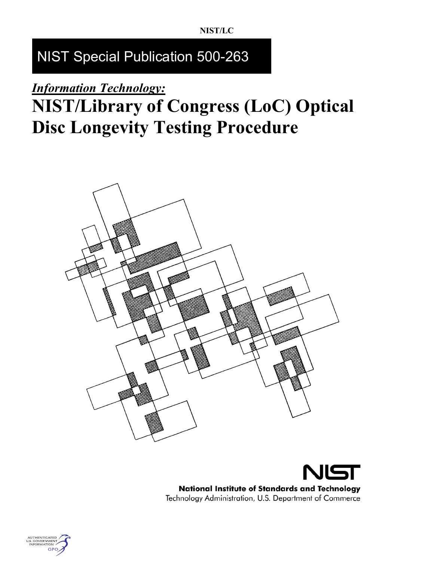# NIST Special Publication 500-263

# *Information Technology:*

# **NIST/Library of Congress (LoC) Optical Disc Longevity Testing Procedure**





**National Institute of Standards and Technology** Technology Administration, U.S. Department of Commerce

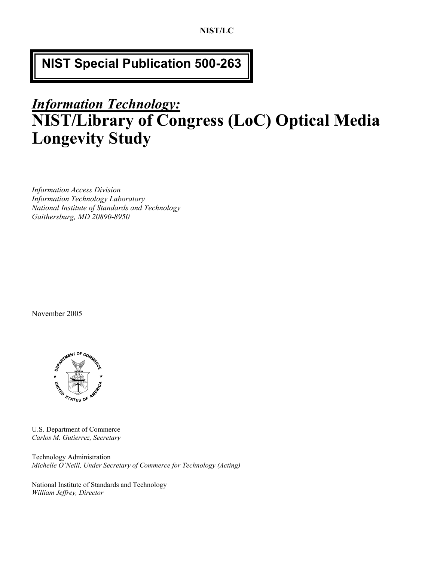## **NIST Special Publication 500-263**

# *Information Technology:* **NIST/Library of Congress (LoC) Optical Media Longevity Study**

*Information Access Division Information Technology Laboratory National Institute of Standards and Technology Gaithersburg, MD 20890-8950* 

November 2005



U.S. Department of Commerce *Carlos M. Gutierrez, Secretary* 

Technology Administration *Michelle O'Neill, Under Secretary of Commerce for Technology (Acting)* 

National Institute of Standards and Technology *William Jeffrey, Director*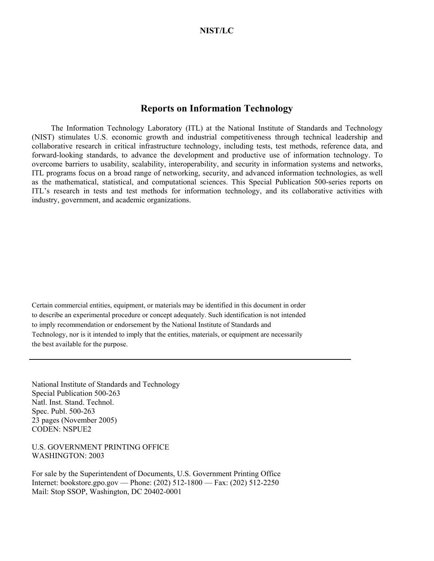#### **Reports on Information Technology**

 The Information Technology Laboratory (ITL) at the National Institute of Standards and Technology (NIST) stimulates U.S. economic growth and industrial competitiveness through technical leadership and collaborative research in critical infrastructure technology, including tests, test methods, reference data, and forward-looking standards, to advance the development and productive use of information technology. To overcome barriers to usability, scalability, interoperability, and security in information systems and networks, ITL programs focus on a broad range of networking, security, and advanced information technologies, as well as the mathematical, statistical, and computational sciences. This Special Publication 500-series reports on ITL's research in tests and test methods for information technology, and its collaborative activities with industry, government, and academic organizations.

Certain commercial entities, equipment, or materials may be identified in this document in order to describe an experimental procedure or concept adequately. Such identification is not intended to imply recommendation or endorsement by the National Institute of Standards and Technology, nor is it intended to imply that the entities, materials, or equipment are necessarily the best available for the purpose.

National Institute of Standards and Technology Special Publication 500-263 Natl. Inst. Stand. Technol. Spec. Publ. 500-263 23 pages (November 2005) CODEN: NSPUE2

U.S. GOVERNMENT PRINTING OFFICE WASHINGTON: 2003

For sale by the Superintendent of Documents, U.S. Government Printing Office Internet: bookstore.gpo.gov — Phone: (202) 512-1800 — Fax: (202) 512-2250 Mail: Stop SSOP, Washington, DC 20402-0001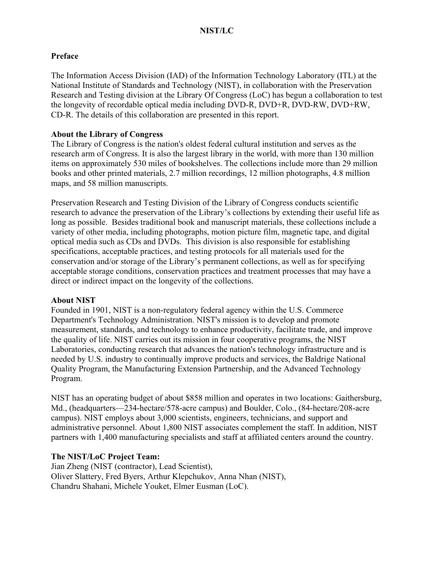#### **Preface**

The Information Access Division (IAD) of the Information Technology Laboratory (ITL) at the National Institute of Standards and Technology (NIST), in collaboration with the Preservation Research and Testing division at the Library Of Congress (LoC) has begun a collaboration to test the longevity of recordable optical media including DVD-R, DVD+R, DVD-RW, DVD+RW, CD-R. The details of this collaboration are presented in this report.

#### **About the Library of Congress**

The Library of Congress is the nation's oldest federal cultural institution and serves as the research arm of Congress. It is also the largest library in the world, with more than 130 million items on approximately 530 miles of bookshelves. The collections include more than 29 million books and other printed materials, 2.7 million recordings, 12 million photographs, 4.8 million maps, and 58 million manuscripts.

Preservation Research and Testing Division of the Library of Congress conducts scientific research to advance the preservation of the Library's collections by extending their useful life as long as possible. Besides traditional book and manuscript materials, these collections include a variety of other media, including photographs, motion picture film, magnetic tape, and digital optical media such as CDs and DVDs. This division is also responsible for establishing specifications, acceptable practices, and testing protocols for all materials used for the conservation and/or storage of the Library's permanent collections, as well as for specifying acceptable storage conditions, conservation practices and treatment processes that may have a direct or indirect impact on the longevity of the collections.

#### **About NIST**

Founded in 1901, NIST is a non-regulatory federal agency within the U.S. Commerce Department's Technology Administration. NIST's mission is to develop and promote measurement, standards, and technology to enhance productivity, facilitate trade, and improve the quality of life. NIST carries out its mission in four cooperative programs, the NIST Laboratories, conducting research that advances the nation's technology infrastructure and is needed by U.S. industry to continually improve products and services, the Baldrige National Quality Program, the Manufacturing Extension Partnership, and the Advanced Technology Program.

NIST has an operating budget of about \$858 million and operates in two locations: Gaithersburg, Md., (headquarters—234-hectare/578-acre campus) and Boulder, Colo., (84-hectare/208-acre campus). NIST employs about 3,000 scientists, engineers, technicians, and support and administrative personnel. About 1,800 NIST associates complement the staff. In addition, NIST partners with 1,400 manufacturing specialists and staff at affiliated centers around the country.

#### **The NIST/LoC Project Team:**

Jian Zheng (NIST (contractor), Lead Scientist), Oliver Slattery, Fred Byers, Arthur Klepchukov, Anna Nhan (NIST), Chandru Shahani, Michele Youket, Elmer Eusman (LoC).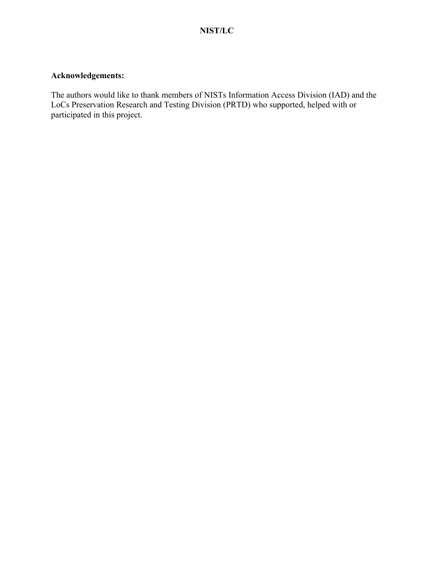## **Acknowledgements:**

The authors would like to thank members of NISTs Information Access Division (IAD) and the LoCs Preservation Research and Testing Division (PRTD) who supported, helped with or participated in this project.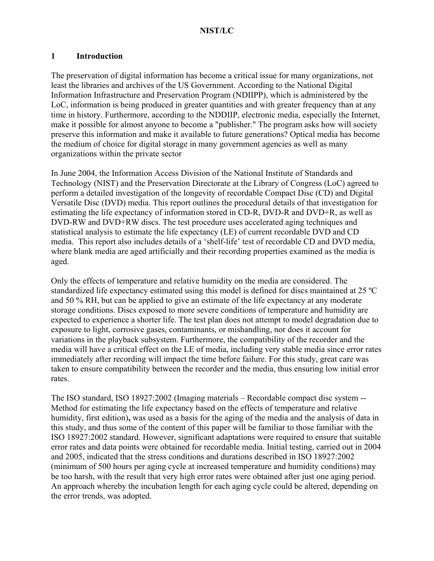#### **1 Introduction**

The preservation of digital information has become a critical issue for many organizations, not least the libraries and archives of the US Government. According to the National Digital Information Infrastructure and Preservation Program (NDIIPP), which is administered by the LoC, information is being produced in greater quantities and with greater frequency than at any time in history. Furthermore, according to the NDDIIP, electronic media, especially the Internet, make it possible for almost anyone to become a "publisher." The program asks how will society preserve this information and make it available to future generations? Optical media has become the medium of choice for digital storage in many government agencies as well as many organizations within the private sector

In June 2004, the Information Access Division of the National Institute of Standards and Technology (NIST) and the Preservation Directorate at the Library of Congress (LoC) agreed to perform a detailed investigation of the longevity of recordable Compact Disc (CD) and Digital Versatile Disc (DVD) media. This report outlines the procedural details of that investigation for estimating the life expectancy of information stored in CD-R, DVD-R and DVD+R, as well as DVD-RW and DVD+RW discs. The test procedure uses accelerated aging techniques and statistical analysis to estimate the life expectancy (LE) of current recordable DVD and CD media. This report also includes details of a 'shelf-life' test of recordable CD and DVD media, where blank media are aged artificially and their recording properties examined as the media is aged.

Only the effects of temperature and relative humidity on the media are considered. The standardized life expectancy estimated using this model is defined for discs maintained at 25 ºC and 50 % RH, but can be applied to give an estimate of the life expectancy at any moderate storage conditions. Discs exposed to more severe conditions of temperature and humidity are expected to experience a shorter life. The test plan does not attempt to model degradation due to exposure to light, corrosive gases, contaminants, or mishandling, nor does it account for variations in the playback subsystem. Furthermore, the compatibility of the recorder and the media will have a critical effect on the LE of media, including very stable media since error rates immediately after recording will impact the time before failure. For this study, great care was taken to ensure compatibility between the recorder and the media, thus ensuring low initial error rates.

The ISO standard, ISO 18927:2002 (Imaging materials – Recordable compact disc system -- Method for estimating the life expectancy based on the effects of temperature and relative humidity, first edition)**,** was used as a basis for the aging of the media and the analysis of data in this study, and thus some of the content of this paper will be familiar to those familiar with the ISO 18927:2002 standard. However, significant adaptations were required to ensure that suitable error rates and data points were obtained for recordable media. Initial testing, carried out in 2004 and 2005, indicated that the stress conditions and durations described in ISO 18927:2002 (minimum of 500 hours per aging cycle at increased temperature and humidity conditions) may be too harsh, with the result that very high error rates were obtained after just one aging period. An approach whereby the incubation length for each aging cycle could be altered, depending on the error trends, was adopted.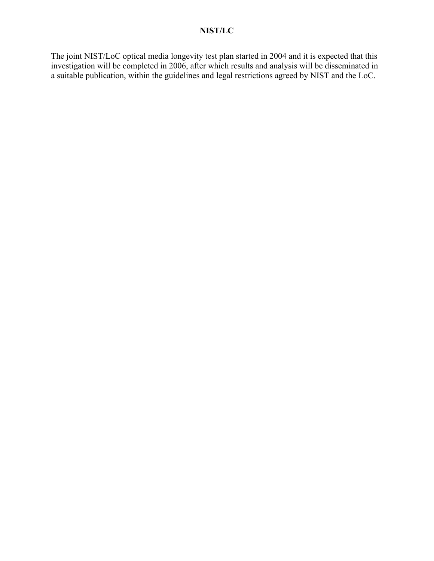The joint NIST/LoC optical media longevity test plan started in 2004 and it is expected that this investigation will be completed in 2006, after which results and analysis will be disseminated in a suitable publication, within the guidelines and legal restrictions agreed by NIST and the LoC.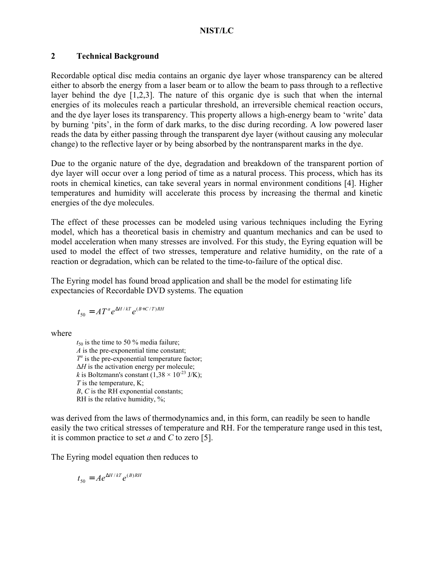#### **2 Technical Background**

Recordable optical disc media contains an organic dye layer whose transparency can be altered either to absorb the energy from a laser beam or to allow the beam to pass through to a reflective layer behind the dye [1,2,3]. The nature of this organic dye is such that when the internal energies of its molecules reach a particular threshold, an irreversible chemical reaction occurs, and the dye layer loses its transparency. This property allows a high-energy beam to 'write' data by burning 'pits', in the form of dark marks, to the disc during recording. A low powered laser reads the data by either passing through the transparent dye layer (without causing any molecular change) to the reflective layer or by being absorbed by the nontransparent marks in the dye.

Due to the organic nature of the dye, degradation and breakdown of the transparent portion of dye layer will occur over a long period of time as a natural process. This process, which has its roots in chemical kinetics, can take several years in normal environment conditions [4]. Higher temperatures and humidity will accelerate this process by increasing the thermal and kinetic energies of the dye molecules.

The effect of these processes can be modeled using various techniques including the Eyring model, which has a theoretical basis in chemistry and quantum mechanics and can be used to model acceleration when many stresses are involved. For this study, the Eyring equation will be used to model the effect of two stresses, temperature and relative humidity, on the rate of a reaction or degradation, which can be related to the time-to-failure of the optical disc.

The Eyring model has found broad application and shall be the model for estimating life expectancies of Recordable DVD systems. The equation

$$
t_{50} = A T^a e^{\Delta H / kT} e^{(B+C/T)RH}
$$

where

 $t_{50}$  is the time to 50 % media failure; *A* is the pre-exponential time constant;  $T^a$  is the pre-exponential temperature factor; ∆*H* is the activation energy per molecule; *k* is Boltzmann's constant  $(1,38 \times 10^{-23} \text{ J/K})$ ; *T* is the temperature, K; *B*, *C* is the RH exponential constants; RH is the relative humidity, %;

was derived from the laws of thermodynamics and, in this form, can readily be seen to handle easily the two critical stresses of temperature and RH. For the temperature range used in this test, it is common practice to set *a* and *C* to zero [5].

The Eyring model equation then reduces to

$$
t_{50} = Ae^{\Delta H/kT}e^{(B)RH}
$$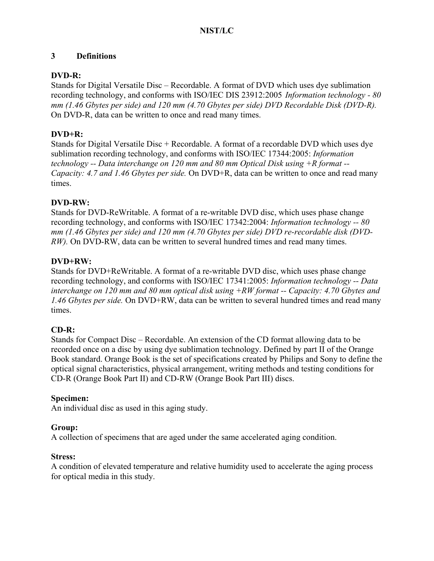## **3 Definitions**

## **DVD-R:**

Stands for Digital Versatile Disc – Recordable. A format of DVD which uses dye sublimation recording technology, and conforms with ISO/IEC DIS 23912:2005 *Information technology - 80 mm (1.46 Gbytes per side) and 120 mm (4.70 Gbytes per side) DVD Recordable Disk (DVD-R).* On DVD-R, data can be written to once and read many times.

## **DVD+R:**

Stands for Digital Versatile Disc + Recordable. A format of a recordable DVD which uses dye sublimation recording technology, and conforms with ISO/IEC 17344:2005: *Information technology -- Data interchange on 120 mm and 80 mm Optical Disk using +R format -- Capacity: 4.7 and 1.46 Gbytes per side.* On DVD+R, data can be written to once and read many times.

## **DVD-RW:**

Stands for DVD-ReWritable. A format of a re-writable DVD disc, which uses phase change recording technology, and conforms with ISO/IEC 17342:2004: *Information technology -- 80 mm (1.46 Gbytes per side) and 120 mm (4.70 Gbytes per side) DVD re-recordable disk (DVD-RW*). On DVD-RW, data can be written to several hundred times and read many times.

## **DVD+RW:**

Stands for DVD+ReWritable. A format of a re-writable DVD disc, which uses phase change recording technology, and conforms with ISO/IEC 17341:2005: *Information technology -- Data interchange on 120 mm and 80 mm optical disk using +RW format -- Capacity: 4.70 Gbytes and 1.46 Gbytes per side.* On DVD+RW, data can be written to several hundred times and read many times.

## **CD-R:**

Stands for Compact Disc – Recordable. An extension of the CD format allowing data to be recorded once on a disc by using dye sublimation technology. Defined by part II of the Orange Book standard. Orange Book is the set of specifications created by Philips and Sony to define the optical signal characteristics, physical arrangement, writing methods and testing conditions for CD-R (Orange Book Part II) and CD-RW (Orange Book Part III) discs.

## **Specimen:**

An individual disc as used in this aging study.

## **Group:**

A collection of specimens that are aged under the same accelerated aging condition.

## **Stress:**

A condition of elevated temperature and relative humidity used to accelerate the aging process for optical media in this study.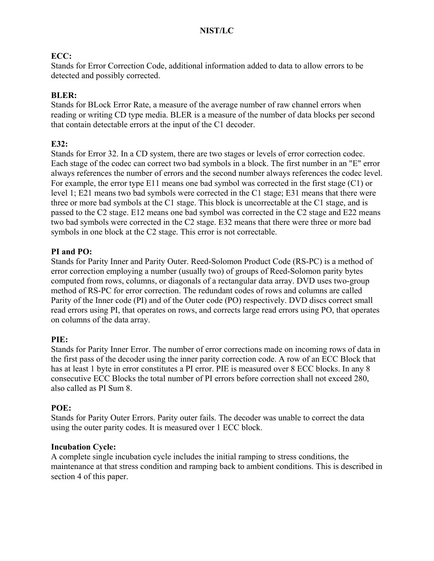## **ECC:**

Stands for Error Correction Code, additional information added to data to allow errors to be detected and possibly corrected.

### **BLER:**

Stands for BLock Error Rate, a measure of the average number of raw channel errors when reading or writing CD type media. BLER is a measure of the number of data blocks per second that contain detectable errors at the input of the C1 decoder.

### **E32:**

Stands for Error 32. In a CD system, there are two stages or levels of error correction codec. Each stage of the codec can correct two bad symbols in a block. The first number in an "E" error always references the number of errors and the second number always references the codec level. For example, the error type E11 means one bad symbol was corrected in the first stage (C1) or level 1; E21 means two bad symbols were corrected in the C1 stage; E31 means that there were three or more bad symbols at the C1 stage. This block is uncorrectable at the C1 stage, and is passed to the C2 stage. E12 means one bad symbol was corrected in the C2 stage and E22 means two bad symbols were corrected in the C2 stage. E32 means that there were three or more bad symbols in one block at the C2 stage. This error is not correctable.

#### **PI and PO:**

Stands for Parity Inner and Parity Outer. Reed-Solomon Product Code (RS-PC) is a method of error correction employing a number (usually two) of groups of Reed-Solomon parity bytes computed from rows, columns, or diagonals of a rectangular data array. DVD uses two-group method of RS-PC for error correction. The redundant codes of rows and columns are called Parity of the Inner code (PI) and of the Outer code (PO) respectively. DVD discs correct small read errors using PI, that operates on rows, and corrects large read errors using PO, that operates on columns of the data array.

#### **PIE:**

Stands for Parity Inner Error. The number of error corrections made on incoming rows of data in the first pass of the decoder using the inner parity correction code. A row of an ECC Block that has at least 1 byte in error constitutes a PI error. PIE is measured over 8 ECC blocks. In any 8 consecutive ECC Blocks the total number of PI errors before correction shall not exceed 280, also called as PI Sum 8.

#### **POE:**

Stands for Parity Outer Errors. Parity outer fails. The decoder was unable to correct the data using the outer parity codes. It is measured over 1 ECC block.

#### **Incubation Cycle:**

A complete single incubation cycle includes the initial ramping to stress conditions, the maintenance at that stress condition and ramping back to ambient conditions. This is described in section 4 of this paper.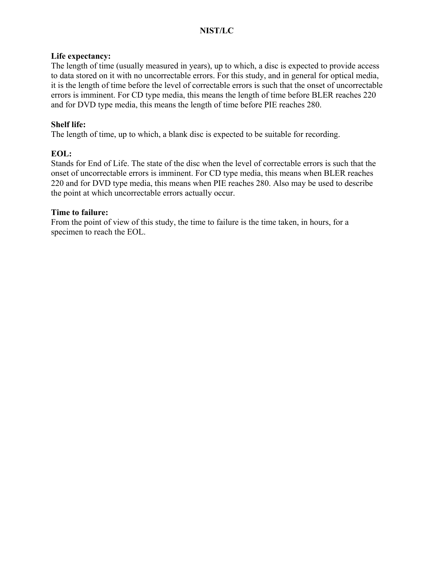#### **Life expectancy:**

The length of time (usually measured in years), up to which, a disc is expected to provide access to data stored on it with no uncorrectable errors. For this study, and in general for optical media, it is the length of time before the level of correctable errors is such that the onset of uncorrectable errors is imminent. For CD type media, this means the length of time before BLER reaches 220 and for DVD type media, this means the length of time before PIE reaches 280.

### **Shelf life:**

The length of time, up to which, a blank disc is expected to be suitable for recording.

## **EOL:**

Stands for End of Life. The state of the disc when the level of correctable errors is such that the onset of uncorrectable errors is imminent. For CD type media, this means when BLER reaches 220 and for DVD type media, this means when PIE reaches 280. Also may be used to describe the point at which uncorrectable errors actually occur.

#### **Time to failure:**

From the point of view of this study, the time to failure is the time taken, in hours, for a specimen to reach the EOL.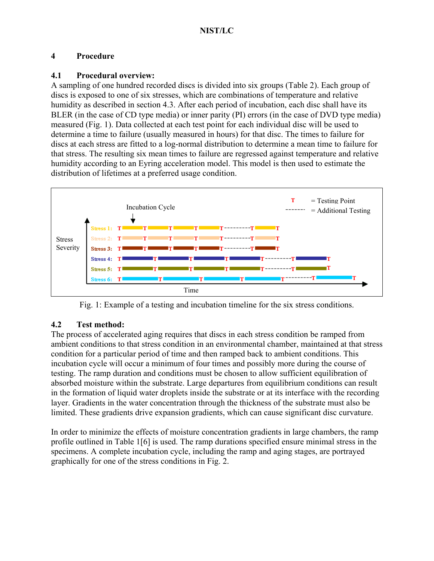## **4 Procedure**

## **4.1 Procedural overview:**

A sampling of one hundred recorded discs is divided into six groups (Table 2). Each group of discs is exposed to one of six stresses, which are combinations of temperature and relative humidity as described in section 4.3. After each period of incubation, each disc shall have its BLER (in the case of CD type media) or inner parity (PI) errors (in the case of DVD type media) measured (Fig. 1). Data collected at each test point for each individual disc will be used to determine a time to failure (usually measured in hours) for that disc. The times to failure for discs at each stress are fitted to a log-normal distribution to determine a mean time to failure for that stress. The resulting six mean times to failure are regressed against temperature and relative humidity according to an Eyring acceleration model. This model is then used to estimate the distribution of lifetimes at a preferred usage condition.



Fig. 1: Example of a testing and incubation timeline for the six stress conditions.

## **4.2 Test method:**

The process of accelerated aging requires that discs in each stress condition be ramped from ambient conditions to that stress condition in an environmental chamber, maintained at that stress condition for a particular period of time and then ramped back to ambient conditions. This incubation cycle will occur a minimum of four times and possibly more during the course of testing. The ramp duration and conditions must be chosen to allow sufficient equilibration of absorbed moisture within the substrate. Large departures from equilibrium conditions can result in the formation of liquid water droplets inside the substrate or at its interface with the recording layer. Gradients in the water concentration through the thickness of the substrate must also be limited. These gradients drive expansion gradients, which can cause significant disc curvature.

In order to minimize the effects of moisture concentration gradients in large chambers, the ramp profile outlined in Table 1[6] is used. The ramp durations specified ensure minimal stress in the specimens. A complete incubation cycle, including the ramp and aging stages, are portrayed graphically for one of the stress conditions in Fig. 2.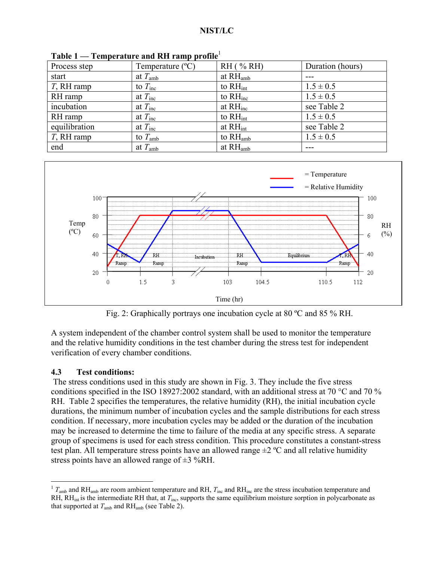| Process step  | Temperature (°C)    | $RH$ (% RH)          | Duration (hours) |
|---------------|---------------------|----------------------|------------------|
| start         | at $T_{\rm amb}$    | at $RHamb$           |                  |
| $T$ , RH ramp | to $T_{\text{inc}}$ | to $RH_{int}$        | $1.5 \pm 0.5$    |
| RH ramp       | at $T_{\text{inc}}$ | to $RH_{inc}$        | $1.5 \pm 0.5$    |
| incubation    | at $T_{\text{inc}}$ | at $RH_{inc}$        | see Table 2      |
| RH ramp       | at $T_{\text{inc}}$ | to $RH_{int}$        | $1.5 \pm 0.5$    |
| equilibration | at $T_{\text{inc}}$ | at $RH_{int}$        | see Table 2      |
| $T$ , RH ramp | to $T_{\rm amb}$    | to $RHamb$           | $1.5 \pm 0.5$    |
| end           | at $T_{\rm amb}$    | at RH <sub>amb</sub> |                  |

**Table 1 — Temperature and RH ramp profile**<sup>1</sup>



Fig. 2: Graphically portrays one incubation cycle at 80 ºC and 85 % RH.

A system independent of the chamber control system shall be used to monitor the temperature and the relative humidity conditions in the test chamber during the stress test for independent verification of every chamber conditions.

## **4.3 Test conditions:**

 The stress conditions used in this study are shown in Fig. 3. They include the five stress conditions specified in the ISO 18927:2002 standard, with an additional stress at 70 °C and 70 % RH. Table 2 specifies the temperatures, the relative humidity (RH), the initial incubation cycle durations, the minimum number of incubation cycles and the sample distributions for each stress condition. If necessary, more incubation cycles may be added or the duration of the incubation may be increased to determine the time to failure of the media at any specific stress. A separate group of specimens is used for each stress condition. This procedure constitutes a constant-stress test plan. All temperature stress points have an allowed range  $\pm 2$  °C and all relative humidity stress points have an allowed range of  $\pm$ 3 %RH.

 $\overline{a}$  $1 T_{amb}$  and RH<sub>amb</sub> are room ambient temperature and RH,  $T_{inc}$  and RH<sub>inc</sub> are the stress incubation temperature and RH, RH<sub>int</sub> is the intermediate RH that, at *T*<sub>inc</sub>, supports the same equilibrium moisture sorption in polycarbonate as that supported at  $T_{\text{amb}}$  and  $\text{RH}_{\text{amb}}$  (see Table 2).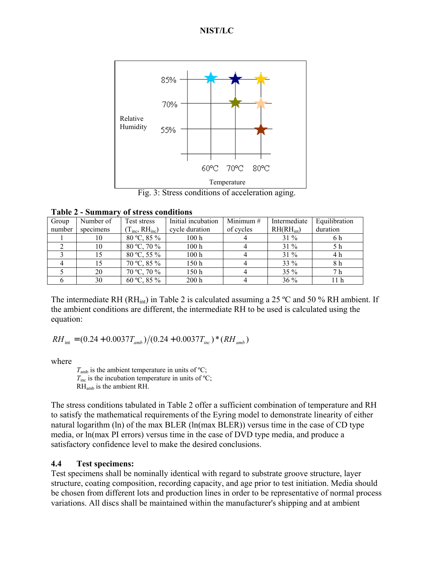

Fig. 3: Stress conditions of acceleration aging.

| Table 2 - Summary of stress conditions |  |
|----------------------------------------|--|
|----------------------------------------|--|

| Group  | Number of | Test stress           | Initial incubation | Minimum $#$ | Intermediate  | Equilibration |
|--------|-----------|-----------------------|--------------------|-------------|---------------|---------------|
| number | specimens | $(T_{inc}, RH_{inc})$ | cycle duration     | of cycles   | $RH(H_{int})$ | duration      |
|        | 10        | 80 °C, 85 %           | 100h               |             | $31\%$        | 6 h           |
|        | 10        | 80 °C, 70 %           | 100h               |             | $31\%$        | 5 h           |
|        | 15        | 80 °C, 55 %           | 100 <sub>h</sub>   |             | $31\%$        | 4 h           |
|        | 15        | $70 °C$ , 85 %        | 150h               |             | 33 %          | 8 h           |
|        | 20        | 70 °C, 70 %           | 150h               |             | $35\%$        | 7 h           |
|        | 30        | 60 °C, 85 %           | 200 h              |             | 36 %          | 11 h          |

The intermediate RH (RH<sub>int</sub>) in Table 2 is calculated assuming a 25 °C and 50 % RH ambient. If the ambient conditions are different, the intermediate RH to be used is calculated using the equation:

 $RH_{int} = (0.24 + 0.0037 T_{amb})/(0.24 + 0.0037 T_{inc}) * (RH_{amb})$ 

where

 $T_{amb}$  is the ambient temperature in units of  $^{\circ}C$ ;  $T_{\text{inc}}$  is the incubation temperature in units of <sup>o</sup>C; RHamb is the ambient RH.

The stress conditions tabulated in Table 2 offer a sufficient combination of temperature and RH to satisfy the mathematical requirements of the Eyring model to demonstrate linearity of either natural logarithm (ln) of the max BLER (ln(max BLER)) versus time in the case of CD type media, or ln(max PI errors) versus time in the case of DVD type media, and produce a satisfactory confidence level to make the desired conclusions.

#### **4.4 Test specimens:**

Test specimens shall be nominally identical with regard to substrate groove structure, layer structure, coating composition, recording capacity, and age prior to test initiation. Media should be chosen from different lots and production lines in order to be representative of normal process variations. All discs shall be maintained within the manufacturer's shipping and at ambient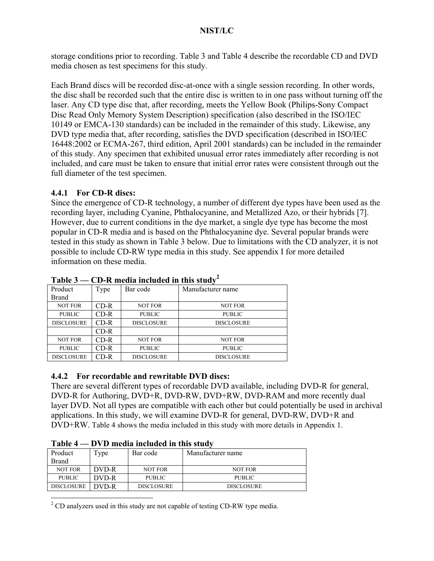storage conditions prior to recording. Table 3 and Table 4 describe the recordable CD and DVD media chosen as test specimens for this study.

Each Brand discs will be recorded disc-at-once with a single session recording. In other words, the disc shall be recorded such that the entire disc is written to in one pass without turning off the laser. Any CD type disc that, after recording, meets the Yellow Book (Philips-Sony Compact Disc Read Only Memory System Description) specification (also described in the ISO/IEC 10149 or EMCA-130 standards) can be included in the remainder of this study. Likewise, any DVD type media that, after recording, satisfies the DVD specification (described in ISO/IEC 16448:2002 or ECMA-267, third edition, April 2001 standards) can be included in the remainder of this study. Any specimen that exhibited unusual error rates immediately after recording is not included, and care must be taken to ensure that initial error rates were consistent through out the full diameter of the test specimen.

## **4.4.1 For CD-R discs:**

Since the emergence of CD-R technology, a number of different dye types have been used as the recording layer, including Cyanine, Phthalocyanine, and Metallized Azo, or their hybrids [7]. However, due to current conditions in the dye market, a single dye type has become the most popular in CD-R media and is based on the Phthalocyanine dye. Several popular brands were tested in this study as shown in Table 3 below. Due to limitations with the CD analyzer, it is not possible to include CD-RW type media in this study. See appendix I for more detailed information on these media.

| 1 UNIV V          | Ср и шени шенией ш ппэ эпин |                   |                   |  |  |  |
|-------------------|-----------------------------|-------------------|-------------------|--|--|--|
| Product           | Type                        | Bar code          | Manufacturer name |  |  |  |
| Brand             |                             |                   |                   |  |  |  |
| <b>NOT FOR</b>    | CD-R                        | <b>NOT FOR</b>    | <b>NOT FOR</b>    |  |  |  |
| <b>PUBLIC</b>     | CD-R                        | <b>PUBLIC</b>     | <b>PUBLIC</b>     |  |  |  |
| <b>DISCLOSURE</b> | CD-R                        | <b>DISCLOSURE</b> | <b>DISCLOSURE</b> |  |  |  |
|                   | CD-R                        |                   |                   |  |  |  |
| <b>NOT FOR</b>    | CD-R                        | <b>NOT FOR</b>    | <b>NOT FOR</b>    |  |  |  |
| <b>PUBLIC</b>     | CD-R                        | <b>PUBLIC</b>     | <b>PUBLIC</b>     |  |  |  |
| <b>DISCLOSURE</b> | CD-R                        | <b>DISCLOSURE</b> | <b>DISCLOSURE</b> |  |  |  |
|                   |                             |                   |                   |  |  |  |

| Table 3 — CD-R media included in this study <sup>2</sup> |  |  |  |  |  |  |  |
|----------------------------------------------------------|--|--|--|--|--|--|--|
|----------------------------------------------------------|--|--|--|--|--|--|--|

## **4.4.2 For recordable and rewritable DVD discs:**

There are several different types of recordable DVD available, including DVD-R for general, DVD-R for Authoring, DVD+R, DVD-RW, DVD+RW, DVD-RAM and more recently dual layer DVD. Not all types are compatible with each other but could potentially be used in archival applications. In this study, we will examine DVD-R for general, DVD-RW, DVD+R and DVD+RW. Table 4 shows the media included in this study with more details in Appendix 1.

| таріс т           | $D \vee D$ invaid inviducu in this stuur |                   |                   |  |  |  |  |  |
|-------------------|------------------------------------------|-------------------|-------------------|--|--|--|--|--|
| Product           | l ype                                    | Bar code          | Manufacturer name |  |  |  |  |  |
| <b>Brand</b>      |                                          |                   |                   |  |  |  |  |  |
| <b>NOT FOR</b>    | DVD-R                                    | <b>NOT FOR</b>    | <b>NOT FOR</b>    |  |  |  |  |  |
| <b>PUBLIC</b>     | DVD-R                                    | <b>PUBLIC</b>     | <b>PUBLIC</b>     |  |  |  |  |  |
| <b>DISCLOSURE</b> | DVD-R                                    | <b>DISCLOSURE</b> | <b>DISCLOSURE</b> |  |  |  |  |  |

**Table 4 — DVD media included in this study**

 $\overline{a}$  $2^2$  CD analyzers used in this study are not capable of testing CD-RW type media.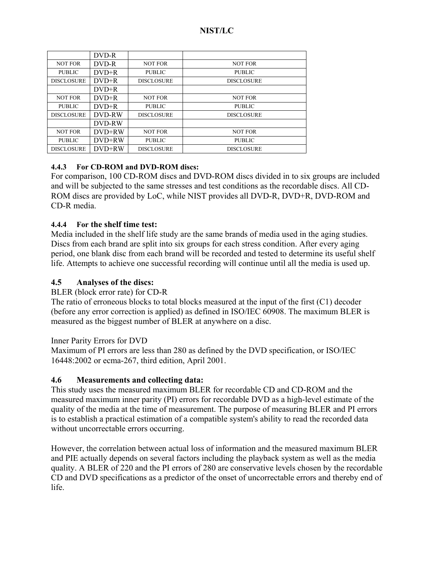|                   | DVD-R         |                   |                   |
|-------------------|---------------|-------------------|-------------------|
| <b>NOT FOR</b>    | DVD-R         | <b>NOT FOR</b>    | <b>NOT FOR</b>    |
| <b>PUBLIC</b>     | $DVD+R$       | <b>PUBLIC</b>     | <b>PUBLIC</b>     |
| <b>DISCLOSURE</b> | $DVD+R$       | <b>DISCLOSURE</b> | <b>DISCLOSURE</b> |
|                   | $DVD+R$       |                   |                   |
| <b>NOT FOR</b>    | $DVD+R$       | <b>NOT FOR</b>    | <b>NOT FOR</b>    |
| <b>PUBLIC</b>     | $DVD+R$       | <b>PUBLIC</b>     | <b>PUBLIC</b>     |
| <b>DISCLOSURE</b> | <b>DVD-RW</b> | <b>DISCLOSURE</b> | <b>DISCLOSURE</b> |
|                   | DVD-RW        |                   |                   |
| <b>NOT FOR</b>    | DVD+RW        | <b>NOT FOR</b>    | <b>NOT FOR</b>    |
| <b>PUBLIC</b>     | DVD+RW        | <b>PUBLIC</b>     | <b>PUBLIC</b>     |
| <b>DISCLOSURE</b> | DVD+RW        | <b>DISCLOSURE</b> | <b>DISCLOSURE</b> |

## **4.4.3 For CD-ROM and DVD-ROM discs:**

For comparison, 100 CD-ROM discs and DVD-ROM discs divided in to six groups are included and will be subjected to the same stresses and test conditions as the recordable discs. All CD-ROM discs are provided by LoC, while NIST provides all DVD-R, DVD+R, DVD-ROM and CD-R media.

#### **4.4.4 For the shelf time test:**

Media included in the shelf life study are the same brands of media used in the aging studies. Discs from each brand are split into six groups for each stress condition. After every aging period, one blank disc from each brand will be recorded and tested to determine its useful shelf life. Attempts to achieve one successful recording will continue until all the media is used up.

### **4.5 Analyses of the discs:**

#### BLER (block error rate) for CD-R

The ratio of erroneous blocks to total blocks measured at the input of the first (C1) decoder (before any error correction is applied) as defined in ISO/IEC 60908. The maximum BLER is measured as the biggest number of BLER at anywhere on a disc.

#### Inner Parity Errors for DVD

Maximum of PI errors are less than 280 as defined by the DVD specification, or ISO/IEC 16448:2002 or ecma-267, third edition, April 2001.

## **4.6 Measurements and collecting data:**

This study uses the measured maximum BLER for recordable CD and CD-ROM and the measured maximum inner parity (PI) errors for recordable DVD as a high-level estimate of the quality of the media at the time of measurement. The purpose of measuring BLER and PI errors is to establish a practical estimation of a compatible system's ability to read the recorded data without uncorrectable errors occurring.

However, the correlation between actual loss of information and the measured maximum BLER and PIE actually depends on several factors including the playback system as well as the media quality. A BLER of 220 and the PI errors of 280 are conservative levels chosen by the recordable CD and DVD specifications as a predictor of the onset of uncorrectable errors and thereby end of life.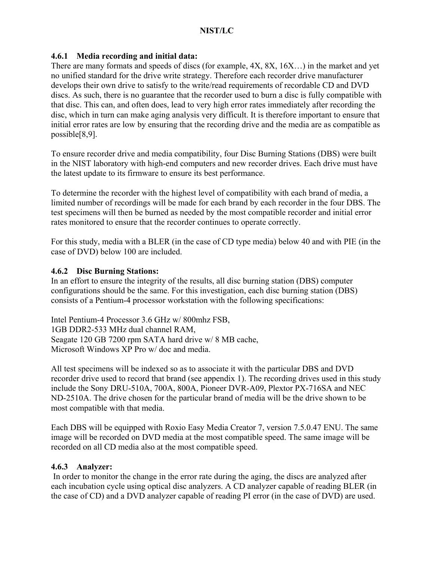### **4.6.1 Media recording and initial data:**

There are many formats and speeds of discs (for example, 4X, 8X, 16X…) in the market and yet no unified standard for the drive write strategy. Therefore each recorder drive manufacturer develops their own drive to satisfy to the write/read requirements of recordable CD and DVD discs. As such, there is no guarantee that the recorder used to burn a disc is fully compatible with that disc. This can, and often does, lead to very high error rates immediately after recording the disc, which in turn can make aging analysis very difficult. It is therefore important to ensure that initial error rates are low by ensuring that the recording drive and the media are as compatible as possible[8,9].

To ensure recorder drive and media compatibility, four Disc Burning Stations (DBS) were built in the NIST laboratory with high-end computers and new recorder drives. Each drive must have the latest update to its firmware to ensure its best performance.

To determine the recorder with the highest level of compatibility with each brand of media, a limited number of recordings will be made for each brand by each recorder in the four DBS. The test specimens will then be burned as needed by the most compatible recorder and initial error rates monitored to ensure that the recorder continues to operate correctly.

For this study, media with a BLER (in the case of CD type media) below 40 and with PIE (in the case of DVD) below 100 are included.

#### **4.6.2 Disc Burning Stations:**

In an effort to ensure the integrity of the results, all disc burning station (DBS) computer configurations should be the same. For this investigation, each disc burning station (DBS) consists of a Pentium-4 processor workstation with the following specifications:

Intel Pentium-4 Processor 3.6 GHz w/ 800mhz FSB, 1GB DDR2-533 MHz dual channel RAM, Seagate 120 GB 7200 rpm SATA hard drive w/ 8 MB cache, Microsoft Windows XP Pro w/ doc and media.

All test specimens will be indexed so as to associate it with the particular DBS and DVD recorder drive used to record that brand (see appendix 1). The recording drives used in this study include the Sony DRU-510A, 700A, 800A, Pioneer DVR-A09, Plextor PX-716SA and NEC ND-2510A. The drive chosen for the particular brand of media will be the drive shown to be most compatible with that media.

Each DBS will be equipped with Roxio Easy Media Creator 7, version 7.5.0.47 ENU. The same image will be recorded on DVD media at the most compatible speed. The same image will be recorded on all CD media also at the most compatible speed.

#### **4.6.3 Analyzer:**

 In order to monitor the change in the error rate during the aging, the discs are analyzed after each incubation cycle using optical disc analyzers. A CD analyzer capable of reading BLER (in the case of CD) and a DVD analyzer capable of reading PI error (in the case of DVD) are used.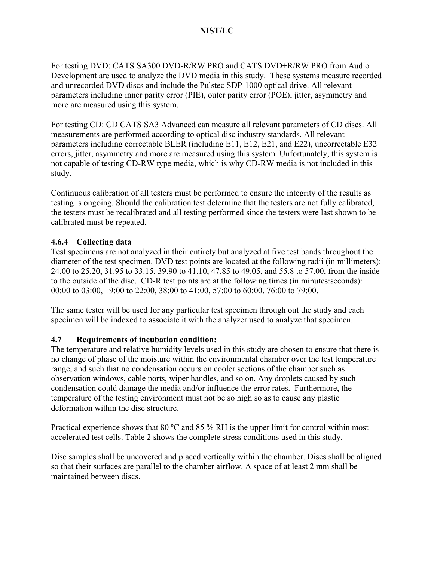For testing DVD: CATS SA300 DVD-R/RW PRO and CATS DVD+R/RW PRO from Audio Development are used to analyze the DVD media in this study. These systems measure recorded and unrecorded DVD discs and include the Pulstec SDP-1000 optical drive. All relevant parameters including inner parity error (PIE), outer parity error (POE), jitter, asymmetry and more are measured using this system.

For testing CD: CD CATS SA3 Advanced can measure all relevant parameters of CD discs. All measurements are performed according to optical disc industry standards. All relevant parameters including correctable BLER (including E11, E12, E21, and E22), uncorrectable E32 errors, jitter, asymmetry and more are measured using this system. Unfortunately, this system is not capable of testing CD-RW type media, which is why CD-RW media is not included in this study.

Continuous calibration of all testers must be performed to ensure the integrity of the results as testing is ongoing. Should the calibration test determine that the testers are not fully calibrated, the testers must be recalibrated and all testing performed since the testers were last shown to be calibrated must be repeated.

## **4.6.4 Collecting data**

Test specimens are not analyzed in their entirety but analyzed at five test bands throughout the diameter of the test specimen. DVD test points are located at the following radii (in millimeters): 24.00 to 25.20, 31.95 to 33.15, 39.90 to 41.10, 47.85 to 49.05, and 55.8 to 57.00, from the inside to the outside of the disc. CD-R test points are at the following times (in minutes:seconds): 00:00 to 03:00, 19:00 to 22:00, 38:00 to 41:00, 57:00 to 60:00, 76:00 to 79:00.

The same tester will be used for any particular test specimen through out the study and each specimen will be indexed to associate it with the analyzer used to analyze that specimen.

## **4.7 Requirements of incubation condition:**

The temperature and relative humidity levels used in this study are chosen to ensure that there is no change of phase of the moisture within the environmental chamber over the test temperature range, and such that no condensation occurs on cooler sections of the chamber such as observation windows, cable ports, wiper handles, and so on. Any droplets caused by such condensation could damage the media and/or influence the error rates. Furthermore, the temperature of the testing environment must not be so high so as to cause any plastic deformation within the disc structure.

Practical experience shows that 80 ºC and 85 % RH is the upper limit for control within most accelerated test cells. Table 2 shows the complete stress conditions used in this study.

Disc samples shall be uncovered and placed vertically within the chamber. Discs shall be aligned so that their surfaces are parallel to the chamber airflow. A space of at least 2 mm shall be maintained between discs.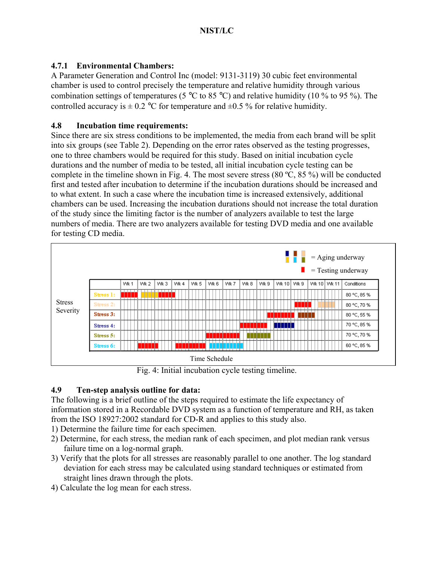## **4.7.1 Environmental Chambers:**

A Parameter Generation and Control Inc (model: 9131-3119) 30 cubic feet environmental chamber is used to control precisely the temperature and relative humidity through various combination settings of temperatures (5  $\degree$ C to 85  $\degree$ C) and relative humidity (10  $\%$  to 95  $\%$ ). The controlled accuracy is  $\pm$  0.2 °C for temperature and  $\pm$ 0.5 % for relative humidity.

## **4.8 Incubation time requirements:**

Since there are six stress conditions to be implemented, the media from each brand will be split into six groups (see Table 2). Depending on the error rates observed as the testing progresses, one to three chambers would be required for this study. Based on initial incubation cycle durations and the number of media to be tested, all initial incubation cycle testing can be complete in the timeline shown in Fig. 4. The most severe stress  $(80 \degree C, 85 \degree)$  will be conducted first and tested after incubation to determine if the incubation durations should be increased and to what extent. In such a case where the incubation time is increased extensively, additional chambers can be used. Increasing the incubation durations should not increase the total duration of the study since the limiting factor is the number of analyzers available to test the large numbers of media. There are two analyzers available for testing DVD media and one available for testing CD media.



Fig. 4: Initial incubation cycle testing timeline.

## **4.9 Ten-step analysis outline for data:**

The following is a brief outline of the steps required to estimate the life expectancy of information stored in a Recordable DVD system as a function of temperature and RH, as taken from the ISO 18927:2002 standard for CD-R and applies to this study also.

- 1) Determine the failure time for each specimen.
- 2) Determine, for each stress, the median rank of each specimen, and plot median rank versus failure time on a log-normal graph.
- 3) Verify that the plots for all stresses are reasonably parallel to one another. The log standard deviation for each stress may be calculated using standard techniques or estimated from straight lines drawn through the plots.
- 4) Calculate the log mean for each stress.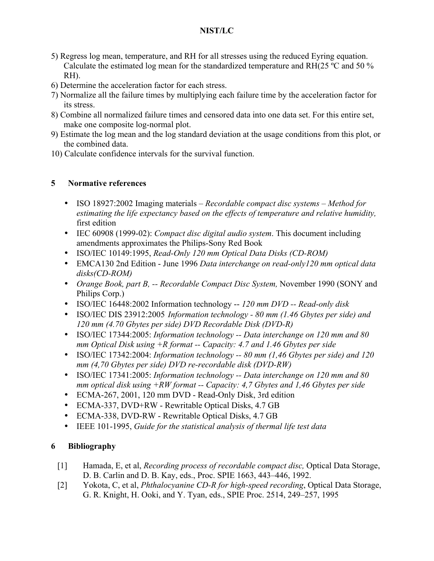- 5) Regress log mean, temperature, and RH for all stresses using the reduced Eyring equation. Calculate the estimated log mean for the standardized temperature and RH(25 ºC and 50 % RH).
- 6) Determine the acceleration factor for each stress.
- 7) Normalize all the failure times by multiplying each failure time by the acceleration factor for its stress.
- 8) Combine all normalized failure times and censored data into one data set. For this entire set, make one composite log-normal plot.
- 9) Estimate the log mean and the log standard deviation at the usage conditions from this plot, or the combined data.
- 10) Calculate confidence intervals for the survival function.

## **5 Normative references**

- ISO 18927:2002 Imaging materials *Recordable compact disc systems Method for estimating the life expectancy based on the effects of temperature and relative humidity,*  first edition
- IEC 60908 (1999-02): *Compact disc digital audio system*. This document including amendments approximates the Philips-Sony Red Book
- ISO/IEC 10149:1995, *Read-Only 120 mm Optical Data Disks (CD-ROM)*
- EMCA130 2nd Edition June 1996 *Data interchange on read-only120 mm optical data disks(CD-ROM)*
- *Orange Book, part B, -- Recordable Compact Disc System, November 1990 (SONY and* Philips Corp.)
- ISO/IEC 16448:2002 Information technology -- *120 mm DVD -- Read-only disk*
- ISO/IEC DIS 23912:2005 *Information technology 80 mm (1.46 Gbytes per side) and 120 mm (4.70 Gbytes per side) DVD Recordable Disk (DVD-R)*
- ISO/IEC 17344:2005: *Information technology -- Data interchange on 120 mm and 80 mm Optical Disk using +R format -- Capacity: 4.7 and 1.46 Gbytes per side*
- ISO/IEC 17342:2004: *Information technology -- 80 mm (1,46 Gbytes per side) and 120 mm (4,70 Gbytes per side) DVD re-recordable disk (DVD-RW)*
- ISO/IEC 17341:2005: *Information technology -- Data interchange on 120 mm and 80 mm optical disk using +RW format -- Capacity: 4,7 Gbytes and 1,46 Gbytes per side*
- ECMA-267, 2001, 120 mm DVD Read-Only Disk, 3rd edition
- ECMA-337, DVD+RW Rewritable Optical Disks, 4.7 GB
- ECMA-338, DVD-RW Rewritable Optical Disks, 4.7 GB
- IEEE 101-1995, *Guide for the statistical analysis of thermal life test data*

## **6 Bibliography**

- [1] Hamada, E, et al, *Recording process of recordable compact disc,* Optical Data Storage, D. B. Carlin and D. B. Kay, eds., Proc. SPIE 1663, 443–446, 1992.
- [2] Yokota, C, et al, *Phthalocyanine CD-R for high-speed recording*, Optical Data Storage, G. R. Knight, H. Ooki, and Y. Tyan, eds., SPIE Proc. 2514, 249–257, 1995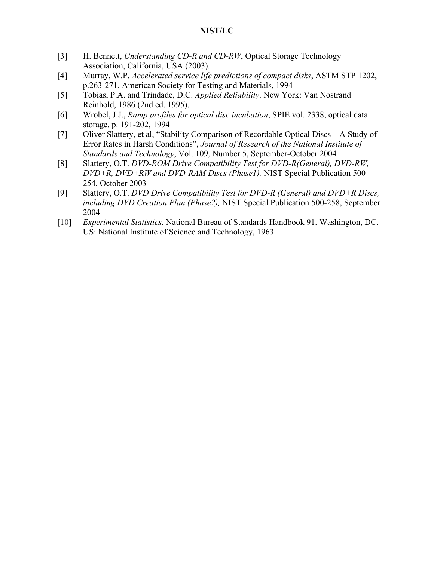- [3] H. Bennett, *Understanding CD-R and CD-RW*, Optical Storage Technology Association, California, USA (2003).
- [4] Murray, W.P. *Accelerated service life predictions of compact disks*, ASTM STP 1202, p.263-271. American Society for Testing and Materials, 1994
- [5] Tobias, P.A. and Trindade, D.C. *Applied Reliability*. New York: Van Nostrand Reinhold, 1986 (2nd ed. 1995).
- [6] Wrobel, J.J., *Ramp profiles for optical disc incubation*, SPIE vol. 2338, optical data storage, p. 191-202, 1994
- [7] Oliver Slattery, et al, "Stability Comparison of Recordable Optical Discs—A Study of Error Rates in Harsh Conditions", *Journal of Research of the National Institute of Standards and Technology*, Vol. 109, Number 5, September-October 2004
- [8] Slattery, O.T. *DVD-ROM Drive Compatibility Test for DVD-R(General), DVD-RW, DVD+R, DVD+RW and DVD-RAM Discs (Phase1),* NIST Special Publication 500- 254, October 2003
- [9] Slattery, O.T. *DVD Drive Compatibility Test for DVD-R (General) and DVD+R Discs, including DVD Creation Plan (Phase2),* NIST Special Publication 500-258, September 2004
- [10] *Experimental Statistics*, National Bureau of Standards Handbook 91. Washington, DC, US: National Institute of Science and Technology, 1963.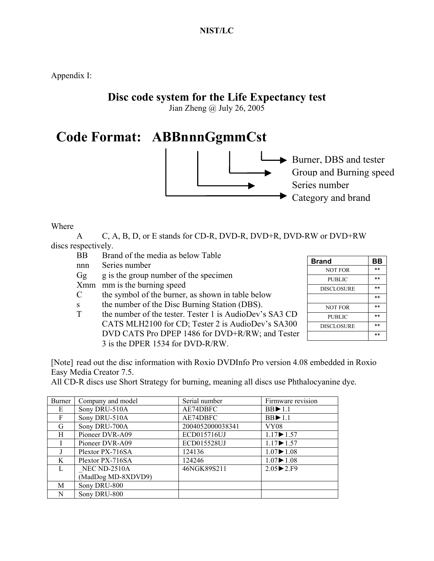Appendix I:

## **Disc code system for the Life Expectancy test**

Jian Zheng @ July 26, 2005

## **Code Format: ABBnnnGgmmCst**



Burner, DBS and tester Group and Burning speed Series number Category and brand

Where

 A C, A, B, D, or E stands for CD-R, DVD-R, DVD+R, DVD-RW or DVD+RW discs respectively.

- BB Brand of the media as below Table
- nnn Series number
- $Gg$  g is the group number of the specimen
- Xmm mm is the burning speed
- C the symbol of the burner, as shown in table below
- s the number of the Disc Burning Station (DBS).
- T the number of the tester. Tester 1 is AudioDev's SA3 CD CATS MLH2100 for CD; Tester 2 is AudioDev's SA300 DVD CATS Pro DPEP 1486 for DVD+R/RW; and Tester 3 is the DPER 1534 for DVD-R/RW.

| Brand             | BB |
|-------------------|----|
| <b>NOT FOR</b>    | ** |
| PUBLIC            | ** |
| <b>DISCLOSURE</b> | ** |
|                   | ** |
| <b>NOT FOR</b>    | ** |
| <b>PUBLIC</b>     | ** |
| <b>DISCLOSURE</b> | ** |
|                   | ** |

[Note] read out the disc information with Roxio DVDInfo Pro version 4.08 embedded in Roxio Easy Media Creator 7.5.

All CD-R discs use Short Strategy for burning, meaning all discs use Phthalocyanine dye.

| Burner       | Company and model  | Serial number    | Firmware revision       |
|--------------|--------------------|------------------|-------------------------|
| E            | Sony DRU-510A      | AE74DBFC         | $BB \triangleright 1.1$ |
| F            | Sony DRU-510A      | AE74DBFC         | $BB \triangleright 1.1$ |
| G            | Sony DRU-700A      | 2004052000038341 | <b>VY08</b>             |
| H            | Pioneer DVR-A09    | ECD015716UJ      | $1.17 \rightarrow 1.57$ |
|              | Pioneer DVR-A09    | ECD015528UJ      | $1.17 \rightarrow 1.57$ |
|              | Plextor PX-716SA   | 124136           | $1.07 \rightarrow 1.08$ |
| K            | Plextor PX-716SA   | 124246           | $1.07 \rightarrow 1.08$ |
| $\mathbf{L}$ | NEC ND-2510A       | 46NGK89S211      | $2.05 \rightarrow 2.F9$ |
|              | (MadDog MD-8XDVD9) |                  |                         |
| M            | Sony DRU-800       |                  |                         |
| N            | Sony DRU-800       |                  |                         |